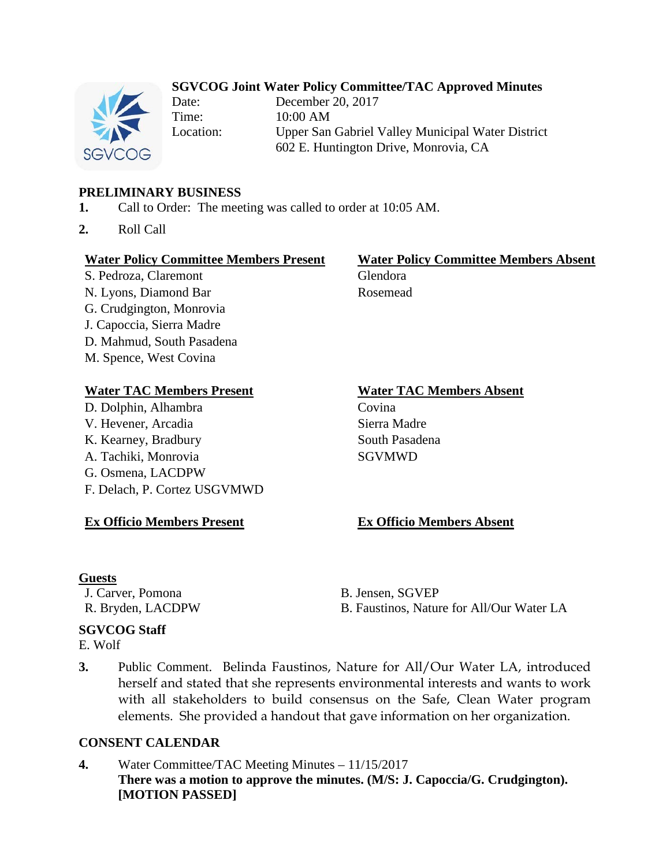# **SGVCOG Joint Water Policy Committee/TAC Approved Minutes**



Date: December 20, 2017 Time: 10:00 AM Location: Upper San Gabriel Valley Municipal Water District 602 E. Huntington Drive, Monrovia, CA

# **PRELIMINARY BUSINESS**

- **1.** Call to Order: The meeting was called to order at 10:05 AM.
- **2.** Roll Call

### **Water Policy Committee Members Present Water Policy Committee Members Absent**

S. Pedroza, Claremont Glendora N. Lyons, Diamond Bar Rosemead G. Crudgington, Monrovia J. Capoccia, Sierra Madre D. Mahmud, South Pasadena M. Spence, West Covina

### **Water TAC Members Present Water TAC Members Absent**

D. Dolphin, Alhambra Covina V. Hevener, Arcadia Sierra Madre K. Kearney, Bradbury South Pasadena A. Tachiki, Monrovia SGVMWD G. Osmena, LACDPW F. Delach, P. Cortez USGVMWD

# **Ex Officio Members Present Ex Officio Members Absent**

### **Guests**

J. Carver, Pomona B. Jensen, SGVEP R. Bryden, LACDPW B. Faustinos, Nature for All/Our Water LA

# **SGVCOG Staff**

- E. Wolf
- **3.** Public Comment. Belinda Faustinos, Nature for All/Our Water LA, introduced herself and stated that she represents environmental interests and wants to work with all stakeholders to build consensus on the Safe, Clean Water program elements. She provided a handout that gave information on her organization.

### **CONSENT CALENDAR**

**4.** Water Committee/TAC Meeting Minutes – 11/15/2017 **There was a motion to approve the minutes. (M/S: J. Capoccia/G. Crudgington). [MOTION PASSED]**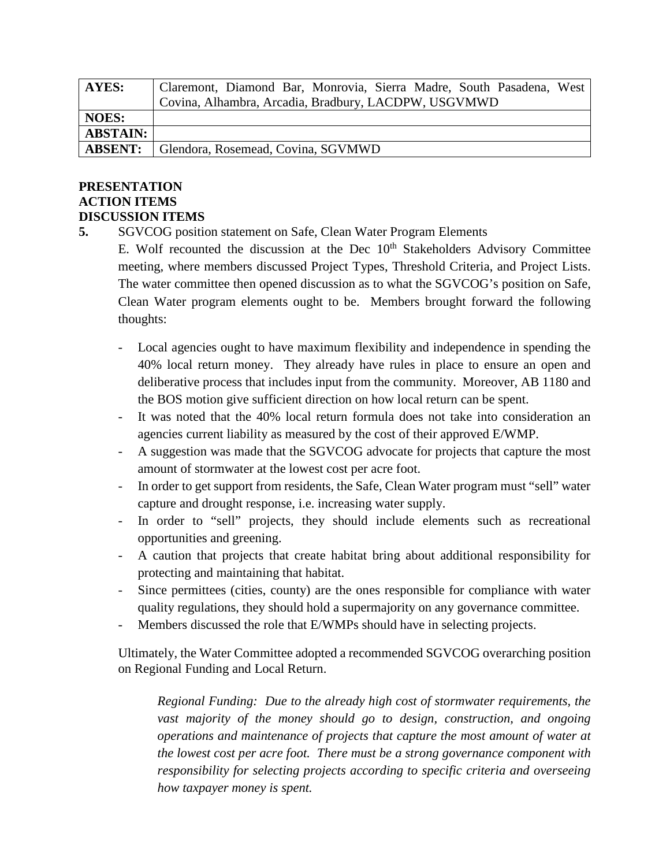| AYES:           | Claremont, Diamond Bar, Monrovia, Sierra Madre, South Pasadena, West |
|-----------------|----------------------------------------------------------------------|
|                 | Covina, Alhambra, Arcadia, Bradbury, LACDPW, USGVMWD                 |
| <b>NOES:</b>    |                                                                      |
| <b>ABSTAIN:</b> |                                                                      |
| <b>ABSENT:</b>  | Glendora, Rosemead, Covina, SGVMWD                                   |

## **PRESENTATION ACTION ITEMS DISCUSSION ITEMS**

**5.** SGVCOG position statement on Safe, Clean Water Program Elements

E. Wolf recounted the discussion at the Dec  $10<sup>th</sup>$  Stakeholders Advisory Committee meeting, where members discussed Project Types, Threshold Criteria, and Project Lists. The water committee then opened discussion as to what the SGVCOG's position on Safe, Clean Water program elements ought to be. Members brought forward the following thoughts:

- Local agencies ought to have maximum flexibility and independence in spending the 40% local return money. They already have rules in place to ensure an open and deliberative process that includes input from the community. Moreover, AB 1180 and the BOS motion give sufficient direction on how local return can be spent.
- It was noted that the 40% local return formula does not take into consideration an agencies current liability as measured by the cost of their approved E/WMP.
- A suggestion was made that the SGVCOG advocate for projects that capture the most amount of stormwater at the lowest cost per acre foot.
- In order to get support from residents, the Safe, Clean Water program must "sell" water capture and drought response, i.e. increasing water supply.
- In order to "sell" projects, they should include elements such as recreational opportunities and greening.
- A caution that projects that create habitat bring about additional responsibility for protecting and maintaining that habitat.
- Since permittees (cities, county) are the ones responsible for compliance with water quality regulations, they should hold a supermajority on any governance committee.
- Members discussed the role that E/WMPs should have in selecting projects.

Ultimately, the Water Committee adopted a recommended SGVCOG overarching position on Regional Funding and Local Return.

*Regional Funding: Due to the already high cost of stormwater requirements, the vast majority of the money should go to design, construction, and ongoing operations and maintenance of projects that capture the most amount of water at the lowest cost per acre foot. There must be a strong governance component with responsibility for selecting projects according to specific criteria and overseeing how taxpayer money is spent.*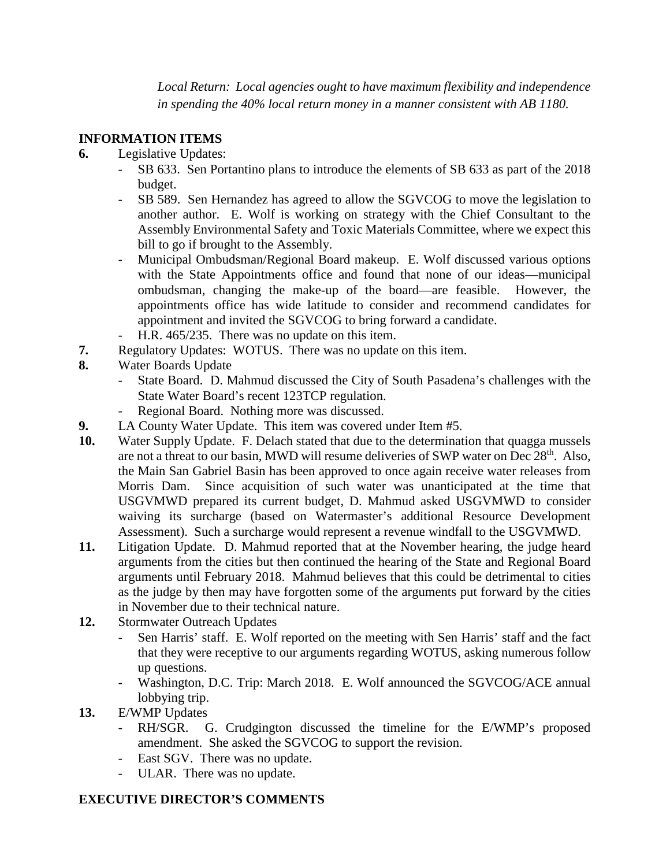*Local Return: Local agencies ought to have maximum flexibility and independence in spending the 40% local return money in a manner consistent with AB 1180.* 

# **INFORMATION ITEMS**

- **6.** Legislative Updates:
	- SB 633. Sen Portantino plans to introduce the elements of SB 633 as part of the 2018 budget.
	- SB 589. Sen Hernandez has agreed to allow the SGVCOG to move the legislation to another author. E. Wolf is working on strategy with the Chief Consultant to the Assembly Environmental Safety and Toxic Materials Committee, where we expect this bill to go if brought to the Assembly.
	- Municipal Ombudsman/Regional Board makeup. E. Wolf discussed various options with the State Appointments office and found that none of our ideas—municipal ombudsman, changing the make-up of the board—are feasible. However, the appointments office has wide latitude to consider and recommend candidates for appointment and invited the SGVCOG to bring forward a candidate.
	- H.R. 465/235. There was no update on this item.
- **7.** Regulatory Updates:WOTUS. There was no update on this item.
- **8.** Water Boards Update
	- State Board. D. Mahmud discussed the City of South Pasadena's challenges with the State Water Board's recent 123TCP regulation.
	- Regional Board. Nothing more was discussed.
- **9.** LA County Water Update. This item was covered under Item #5.
- **10.** Water Supply Update. F. Delach stated that due to the determination that quagga mussels are not a threat to our basin, MWD will resume deliveries of SWP water on Dec 28<sup>th</sup>. Also, the Main San Gabriel Basin has been approved to once again receive water releases from Morris Dam. Since acquisition of such water was unanticipated at the time that USGVMWD prepared its current budget, D. Mahmud asked USGVMWD to consider waiving its surcharge (based on Watermaster's additional Resource Development Assessment). Such a surcharge would represent a revenue windfall to the USGVMWD.
- **11.** Litigation Update. D. Mahmud reported that at the November hearing, the judge heard arguments from the cities but then continued the hearing of the State and Regional Board arguments until February 2018. Mahmud believes that this could be detrimental to cities as the judge by then may have forgotten some of the arguments put forward by the cities in November due to their technical nature.
- **12.** Stormwater Outreach Updates
	- Sen Harris' staff. E. Wolf reported on the meeting with Sen Harris' staff and the fact that they were receptive to our arguments regarding WOTUS, asking numerous follow up questions.
	- Washington, D.C. Trip: March 2018. E. Wolf announced the SGVCOG/ACE annual lobbying trip.
- **13.** E/WMP Updates
	- RH/SGR. G. Crudgington discussed the timeline for the E/WMP's proposed amendment. She asked the SGVCOG to support the revision.
	- East SGV. There was no update.
	- ULAR. There was no update.

# **EXECUTIVE DIRECTOR'S COMMENTS**